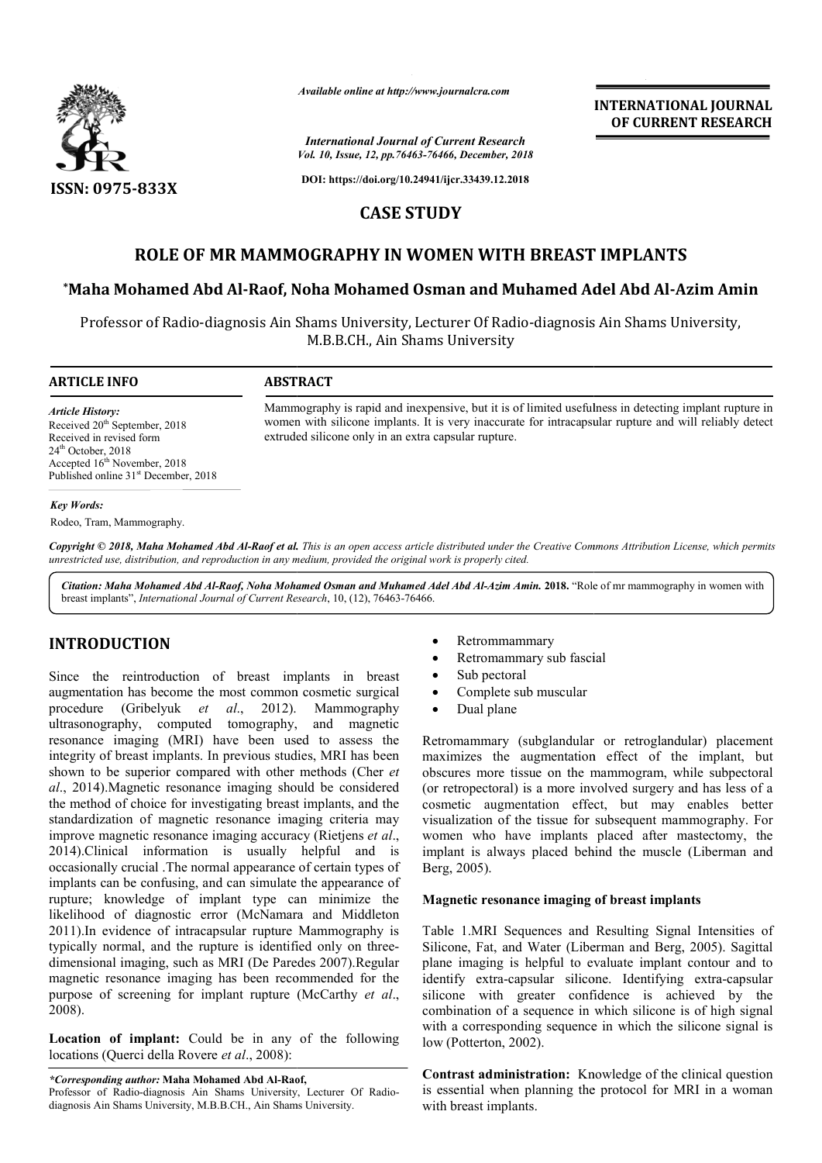

*Available online at http://www.journalcra.com*

*International Journal of Current Research Vol. 10, Issue, 12, pp.76463-76466, December, 2018*

**DOI: https://doi.org/10.24941/ijcr.33439.12.2018**

# **CASE STUDY**

# **ROLE OF MR MAMMOGRAPHY IN WOMEN WITH BREAST IMPLANTS ROLE**

# **\*Maha Mohamed Abd Al-Raof, Noha Mohamed Osman and Muhamed Adel Abd Al Raof, Muhamed Al-Azim Amin**

Professor of Radio-diagnosis Ain Shams University, Lecturer Of Radio-diagnosis Ain Shams University, M.B.B.CH., Ain Shams University

extruded silicone only in an extra capsular rupture.

## **ARTICLE INFO ABSTRACT**

*Article History:* Received 20<sup>th</sup> September, 2018 Received in revised form 24<sup>th</sup> October, 2018 Accepted 16<sup>th</sup> November, 2018 Published online 31<sup>st</sup> December, 2018

## *Key Words:*

Rodeo, Tram, Mammography.

Copyright © 2018, Maha Mohamed Abd Al-Raof et al. This is an open access article distributed under the Creative Commons Attribution License, which permits *unrestricted use, distribution, and reproduction in any medium, provided the original work is properly cited.*

Citation: Maha Mohamed Abd Al-Raof, Noha Mohamed Osman and Muhamed Adel Abd Al-Azim Amin. 2018. "Role of mr mammography in women with breast implants", *International Journal of Current Research* , 10, (12), 76463-76466.

# **INTRODUCTION**

Since the reintroduction of breast implants in breast augmentation has become the most common cosmetic surgical procedure (Gribelyuk *et al*., 2012). ultrasonography, computed tomography, and magnetic resonance imaging (MRI) have been used to assess the integrity of breast implants. In previous studies, MRI has been shown to be superior compared with other methods (Cher *et al*., 2014).Magnetic resonance imaging should be considered the method of choice for investigating breast implants, and the standardization of magnetic resonance imaging criteria may improve magnetic resonance imaging accuracy (Rietjens *et al*., 2014).Clinical information is usually helpful and is occasionally crucial .The normal appearance of certain types of implants can be confusing, and can simulate the appearance of rupture; knowledge of implant type can minimize the likelihood of diagnostic error (McNamara and Middleton 2011).In evidence of intracapsular rupture Mammography is typically normal, and the rupture is identified only on threedimensional imaging, such as MRI (De Paredes 2007).Regular magnetic resonance imaging has been recommended for the purpose of screening for implant rupture (McCarthy *et al*., 2008). Mammography sing, and can simulate the appearance of<br>of implant type can minimize the<br>stic error (McNamara and Middleton<br>intracapsular rupture Mammography is<br>the rupture is identified only on three-

**Location of implant:** Could be in any of the following locations (Querci della Rovere *et al*., 2008):

*\*Corresponding author:* **Maha Mohamed Abd Al-Raof, Raof,** Professor of Radio-diagnosis Ain Shams University, Lecturer Of Radiodiagnosis Ain Shams University, M.B.B.CH., Ain Shams University.

- Retrommammary
- Retromammary sub fascial

Mammography is rapid and inexpensive, but it is of limited usefulness in detecting implant rupture in Mammography is rapid and inexpensive, but it is of limited usefulness in detecting implant rupture in<br>women with silicone implants. It is very inaccurate for intracapsular rupture and will reliably detect

- Sub pectoral
- Complete sub muscular
- Dual plane

Retromammary (subglandular or retroglandular) placement maximizes the augmentation effect of the implant, but obscures more tissue on the mammogram, while subpectoral (or retropectoral) is a more involved surgery and has less of a cosmetic augmentation effect, but may enables better visualization of the tissue for subsequent mammography. For women who have implants placed after mastectomy, the implant is always placed behind the muscle (Liberman and Berg, 2005). Retromammary (subglandular or retroglandular) placer<br>maximizes the augmentation effect of the implant,<br>obscures more tissue on the mammogram, while subpect<br>(or retropectoral) is a more involved surgery and has less<br>cosmeti **INTERNATIONAL JOURNAL CONFIDENT (CONFIDENT (CONFIDENT)**<br> **CONFIDENT (CONFIDENT (CONFIDENT)**<br> **CONFIDENT (CONFIDENT)**<br> **CONFIDENT (CONFIDENT)**<br> **CONFIDENT (CONFIDENT)**<br> **CONFIDENT (CONFIDENT)**<br> **CONFIDENT (CONFIDENT)**<br> **CO** 

**INTERNATIONAL JOURNAL OF CURRENT RESEARCH**

# **Magnetic resonance imaging of breast implan implants**

Table 1.MRI Sequences and Resulting Signal Intensities of Silicone, Fat, and Water (Liberman and Berg, 2005). Sagittal plane imaging is helpful to evaluate implant contour and to Table 1.MRI Sequences and Resulting Signal Intensities of Silicone, Fat, and Water (Liberman and Berg, 2005). Sagittal plane imaging is helpful to evaluate implant contour and to identify extra-capsular silicone. Identifyi silicone with greater confidence is achieved by the combination of a sequence in which silicone is of high signal with a corresponding sequence in which the silicone signal is low (Potterton, 2002).

**Contrast administration:** Knowledge of the clinical question is essential when planning the protocol for MRI in a woman with breast implants.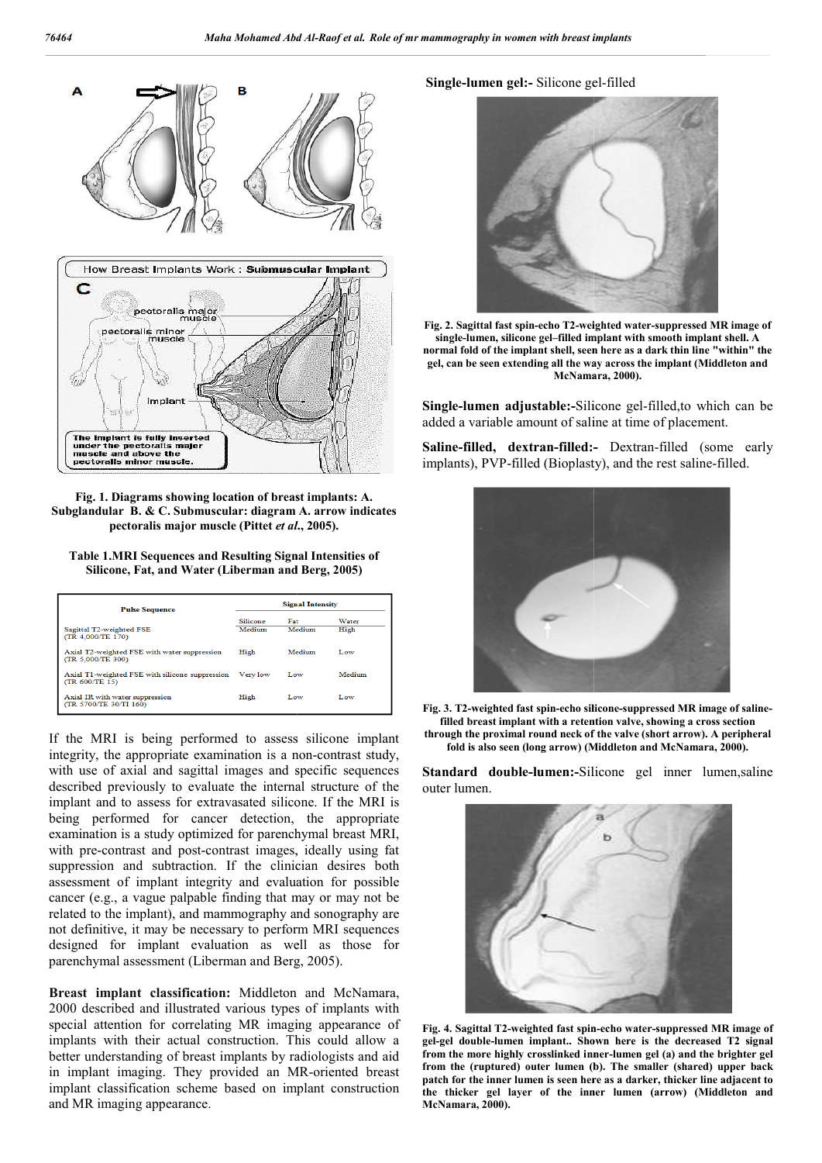

**Fig. 1. Diagrams showing location of breast implants: A. Subglandular B. & C. Submuscular: diagram A. arrow indicates pectoralis major muscle (Pittet** *et al* **., 2005).**

**Table 1.MRI Sequences and Resulting Signal Intensities of Silicone, Fat, and Water (Liberman and Berg, 2005)**

| <b>Pulse Sequence</b>                                             | <b>Signal Intensity</b> |        |        |
|-------------------------------------------------------------------|-------------------------|--------|--------|
|                                                                   | Silicone                | Fat    | Water  |
| Sagittal T2-weighted FSE<br>(TR 4,000/TE 170)                     | Medium                  | Medium | High   |
| Axial T2-weighted FSE with water suppression<br>(TR 5.000/TE 300) | High                    | Medium | Low    |
| Axial T1-weighted FSE with silicone suppression<br>(TR 600/TE 15) | Very low                | Low    | Medium |
| Axial IR with water suppression<br>(TR 5700/TE 30/TI 160)         | High                    | Low    | Low    |

If the MRI is being performed to assess silicone implant integrity, the appropriate examination is a non-contrast study, with use of axial and sagittal images and specific sequences described previously to evaluate the internal structure of the implant and to assess for extravasated silicone. If the MRI is being performed for cancer detection, the appropriate examination is a study optimized for parenchymal breast MRI, with pre-contrast and post-contrast images, ideally using fat suppression and subtraction. If the clinician desires both assessment of implant integrity and evaluation for possible cancer (e.g., a vague palpable finding that may or may not be related to the implant), and mammography and sonography are not definitive, it may be necessary to perform MRI sequences designed for implant evaluation as well as those for parenchymal assessment (Liberman and Berg, 2005). contrast images, ideally using fat<br>in. If the clinician desires both<br>grity and evaluation for possible<br>le finding that may or may not be

**Breast implant classification:** Middleton and McNamara, 2000 described and illustrated various types of implants with special attention for correlating MR imaging appearance of implants with their actual construction. This could allow a better understanding of breast implants by radiologists and aid in implant imaging. They provided an MR MR-oriented breast implant classification scheme based on implant construction and MR imaging appearance.

## Single-lumen gel:- Silicone gel-filled



Fig. 2. Sagittal fast spin-echo T2-weighted water-suppressed MR image of single-lumen, silicone gel–filled implant with smooth implant shell. A normal fold of the implant shell, seen here as a dark thin line "within" the **gel, can be seen extending all the way across the implant (Middleton and gel, can be extending all mara, McNamara, 2000).**

Single-lumen adjustable:-Silicone gel-filled,to which can be added a variable amount of saline at time of placement.

Saline-filled, dextran-filled:- Dextran-filled (some early implants), PVP-filled (Bioplasty), and the rest saline-filled.





Standard double-lumen:-Silicone gel inner lumen, saline outer lumen.



Fig. 4. Sagittal T2-weighted fast spin-echo water-suppressed MR image of **gel-gel double-lumen implant.. Shown here is the decreased T2 signal**  gel-gel double-lumen implant.. Shown here is the decreased T2 signal<br>from the more highly crosslinked inner-lumen gel (a) and the brighter gel **from the (ruptured) outer lumen (b). The smaller (shared) upper back patch for the inner lumen is seen here as a darker, thicker line adjacent to the thicker gel layer of the inner lumen (arrow) McNamara, 2000).** the (ruptured) outer lumen (b). The smaller (shared) upper back<br>h for the inner lumen is seen here as a darker, thicker line adjacent to<br>thicker gel layer of the inner lumen (arrow) (Middleton and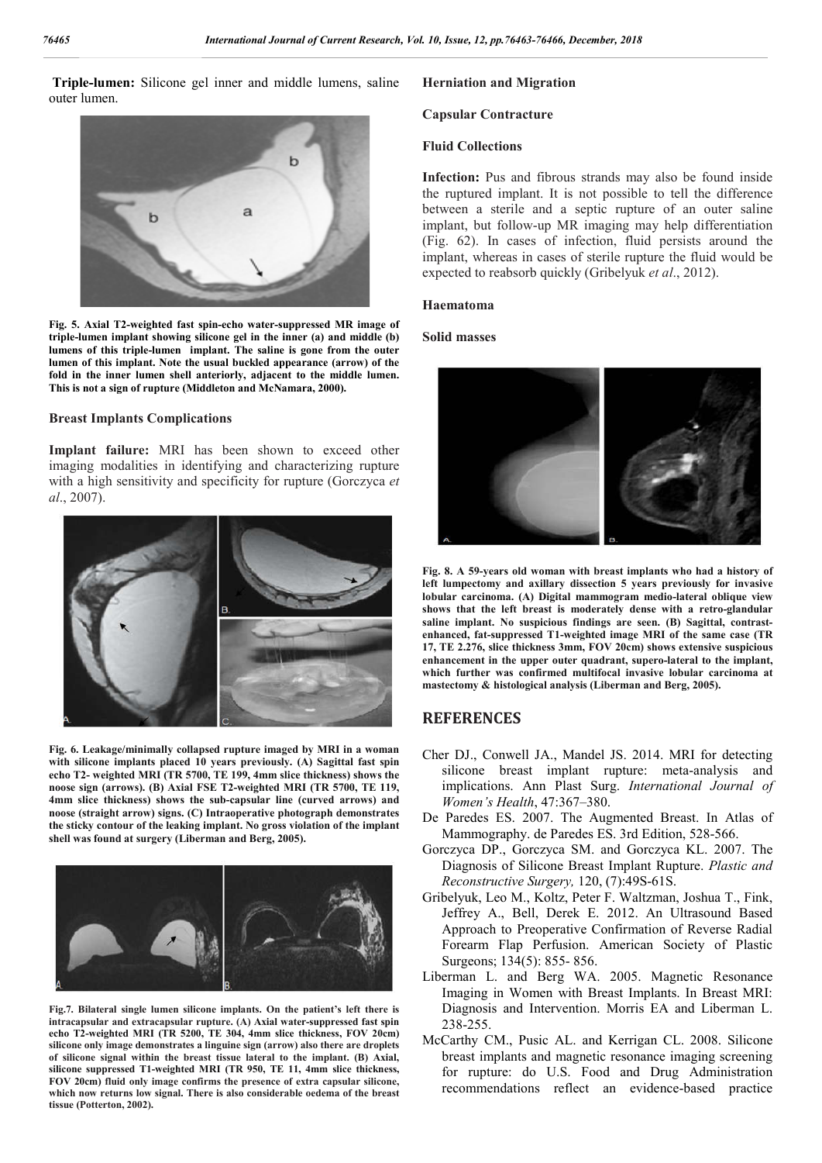**Triple-lumen:** Silicone gel inner and middle lumens, saline outer lumen.



**Fig. 5. Axial T2-weighted fast spin-echo water-suppressed MR image of triple-lumen implant showing silicone gel in the inner (a) and middle (b) lumens of this triple-lumen implant. The saline is gone from the outer lumen of this implant. Note the usual buckled appearance (arrow) of the fold in the inner lumen shell anteriorly, adjacent to the middle lumen. This is not a sign of rupture (Middleton and McNamara, 2000).**

## **Breast Implants Complications**

**Implant failure:** MRI has been shown to exceed other imaging modalities in identifying and characterizing rupture with a high sensitivity and specificity for rupture (Gorczyca *et al*., 2007).



**Fig. 6. Leakage/minimally collapsed rupture imaged by MRI in a woman with silicone implants placed 10 years previously. (A) Sagittal fast spin echo T2- weighted MRI (TR 5700, TE 199, 4mm slice thickness) shows the noose sign (arrows). (B) Axial FSE T2-weighted MRI (TR 5700, TE 119, 4mm slice thickness) shows the sub-capsular line (curved arrows) and noose (straight arrow) signs. (C) Intraoperative photograph demonstrates the sticky contour of the leaking implant. No gross violation of the implant shell was found at surgery (Liberman and Berg, 2005).**



**Fig.7. Bilateral single lumen silicone implants. On the patient's left there is intracapsular and extracapsular rupture. (A) Axial water-suppressed fast spin echo T2-weighted MRI (TR 5200, TE 304, 4mm slice thickness, FOV 20cm) silicone only image demonstrates a linguine sign (arrow) also there are droplets of silicone signal within the breast tissue lateral to the implant. (B) Axial, silicone suppressed T1-weighted MRI (TR 950, TE 11, 4mm slice thickness, FOV 20cm) fluid only image confirms the presence of extra capsular silicone, which now returns low signal. There is also considerable oedema of the breast tissue (Potterton, 2002).**

## **Herniation and Migration**

#### **Capsular Contracture**

#### **Fluid Collections**

**Infection:** Pus and fibrous strands may also be found inside the ruptured implant. It is not possible to tell the difference between a sterile and a septic rupture of an outer saline implant, but follow-up MR imaging may help differentiation (Fig. 62). In cases of infection, fluid persists around the implant, whereas in cases of sterile rupture the fluid would be expected to reabsorb quickly (Gribelyuk *et al*., 2012).

#### **Haematoma**

## **Solid masses**



**Fig. 8. A 59-years old woman with breast implants who had a history of left lumpectomy and axillary dissection 5 years previously for invasive lobular carcinoma. (A) Digital mammogram medio-lateral oblique view shows that the left breast is moderately dense with a retro-glandular saline implant. No suspicious findings are seen. (B) Sagittal, contrastenhanced, fat-suppressed T1-weighted image MRI of the same case (TR 17, TE 2.276, slice thickness 3mm, FOV 20cm) shows extensive suspicious enhancement in the upper outer quadrant, supero-lateral to the implant, which further was confirmed multifocal invasive lobular carcinoma at mastectomy & histological analysis (Liberman and Berg, 2005).**

# **REFERENCES**

- Cher DJ., Conwell JA., Mandel JS. 2014. MRI for detecting silicone breast implant rupture: meta-analysis and implications. Ann Plast Surg. *International Journal of Women's Health*, 47:367–380.
- De Paredes ES. 2007. The Augmented Breast. In Atlas of Mammography. de Paredes ES. 3rd Edition, 528-566.
- Gorczyca DP., Gorczyca SM. and Gorczyca KL. 2007. The Diagnosis of Silicone Breast Implant Rupture. *Plastic and Reconstructive Surgery,* 120, (7):49S-61S.
- Gribelyuk, Leo M., Koltz, Peter F. Waltzman, Joshua T., Fink, Jeffrey A., Bell, Derek E. 2012. An Ultrasound Based Approach to Preoperative Confirmation of Reverse Radial Forearm Flap Perfusion. American Society of Plastic Surgeons; 134(5): 855- 856.
- Liberman L. and Berg WA. 2005. Magnetic Resonance Imaging in Women with Breast Implants. In Breast MRI: Diagnosis and Intervention. Morris EA and Liberman L. 238-255.
- McCarthy CM., Pusic AL. and Kerrigan CL. 2008. Silicone breast implants and magnetic resonance imaging screening for rupture: do U.S. Food and Drug Administration recommendations reflect an evidence-based practice